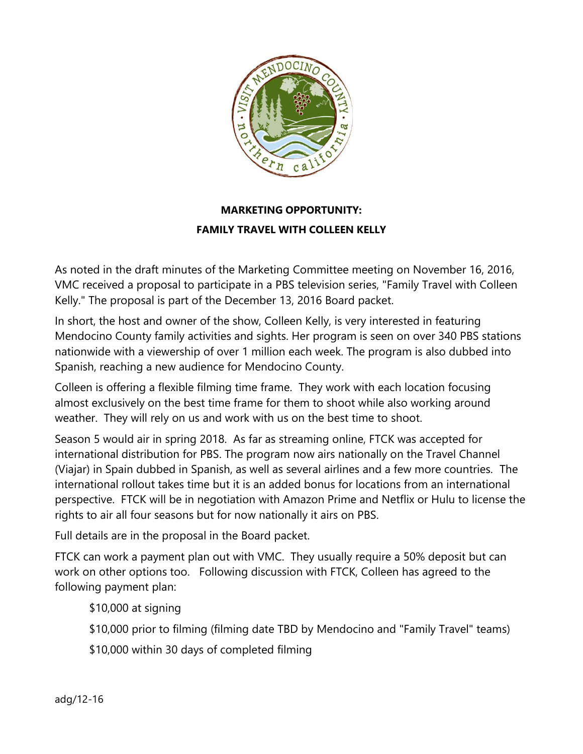

## **MARKETING OPPORTUNITY:**

## **FAMILY TRAVEL WITH COLLEEN KELLY**

As noted in the draft minutes of the Marketing Committee meeting on November 16, 2016, VMC received a proposal to participate in a PBS television series, "Family Travel with Colleen Kelly." The proposal is part of the December 13, 2016 Board packet.

In short, the host and owner of the show, Colleen Kelly, is very interested in featuring Mendocino County family activities and sights. Her program is seen on over 340 PBS stations nationwide with a viewership of over 1 million each week. The program is also dubbed into Spanish, reaching a new audience for Mendocino County.

Colleen is offering a flexible filming time frame. They work with each location focusing almost exclusively on the best time frame for them to shoot while also working around weather. They will rely on us and work with us on the best time to shoot.

Season 5 would air in spring 2018. As far as streaming online, FTCK was accepted for international distribution for PBS. The program now airs nationally on the Travel Channel (Viajar) in Spain dubbed in Spanish, as well as several airlines and a few more countries. The international rollout takes time but it is an added bonus for locations from an international perspective. FTCK will be in negotiation with Amazon Prime and Netflix or Hulu to license the rights to air all four seasons but for now nationally it airs on PBS.

Full details are in the proposal in the Board packet.

FTCK can work a payment plan out with VMC. They usually require a 50% deposit but can work on other options too. Following discussion with FTCK, Colleen has agreed to the following payment plan:

\$10,000 at signing

\$10,000 prior to filming (filming date TBD by Mendocino and "Family Travel" teams)

\$10,000 within 30 days of completed filming